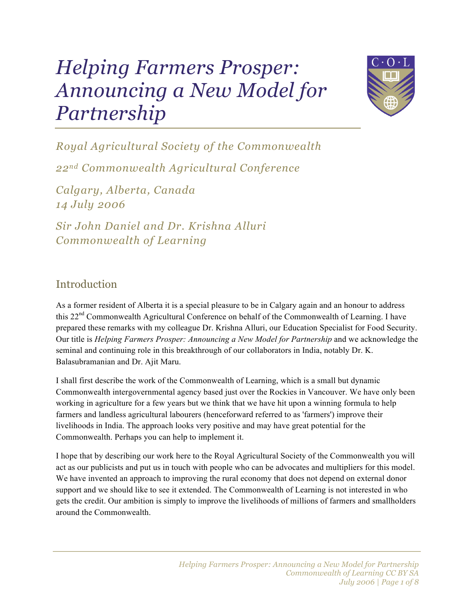# *Helping Farmers Prosper: Announcing a New Model for Partnership*



*Royal Agricultural Society of the Commonwealth*

*22nd Commonwealth Agricultural Conference*

*Calgary, Alberta, Canada 14 July 2006*

*Sir John Daniel and Dr. Krishna Alluri Commonwealth of Learning*

## **Introduction**

As a former resident of Alberta it is a special pleasure to be in Calgary again and an honour to address this 22nd Commonwealth Agricultural Conference on behalf of the Commonwealth of Learning. I have prepared these remarks with my colleague Dr. Krishna Alluri, our Education Specialist for Food Security. Our title is *Helping Farmers Prosper: Announcing a New Model for Partnership* and we acknowledge the seminal and continuing role in this breakthrough of our collaborators in India, notably Dr. K. Balasubramanian and Dr. Ajit Maru.

I shall first describe the work of the Commonwealth of Learning, which is a small but dynamic Commonwealth intergovernmental agency based just over the Rockies in Vancouver. We have only been working in agriculture for a few years but we think that we have hit upon a winning formula to help farmers and landless agricultural labourers (henceforward referred to as 'farmers') improve their livelihoods in India. The approach looks very positive and may have great potential for the Commonwealth. Perhaps you can help to implement it.

I hope that by describing our work here to the Royal Agricultural Society of the Commonwealth you will act as our publicists and put us in touch with people who can be advocates and multipliers for this model. We have invented an approach to improving the rural economy that does not depend on external donor support and we should like to see it extended. The Commonwealth of Learning is not interested in who gets the credit. Our ambition is simply to improve the livelihoods of millions of farmers and smallholders around the Commonwealth.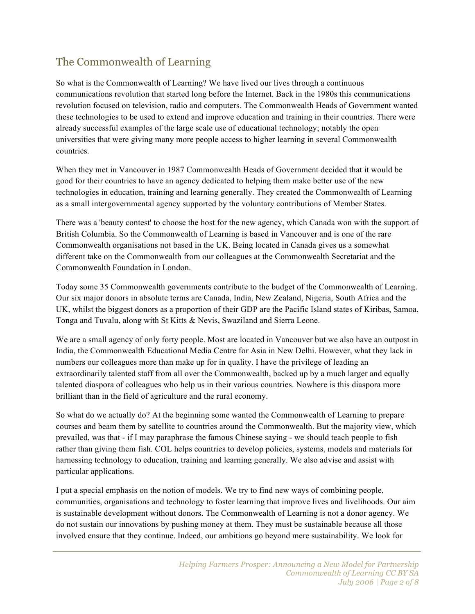# The Commonwealth of Learning

So what is the Commonwealth of Learning? We have lived our lives through a continuous communications revolution that started long before the Internet. Back in the 1980s this communications revolution focused on television, radio and computers. The Commonwealth Heads of Government wanted these technologies to be used to extend and improve education and training in their countries. There were already successful examples of the large scale use of educational technology; notably the open universities that were giving many more people access to higher learning in several Commonwealth countries.

When they met in Vancouver in 1987 Commonwealth Heads of Government decided that it would be good for their countries to have an agency dedicated to helping them make better use of the new technologies in education, training and learning generally. They created the Commonwealth of Learning as a small intergovernmental agency supported by the voluntary contributions of Member States.

There was a 'beauty contest' to choose the host for the new agency, which Canada won with the support of British Columbia. So the Commonwealth of Learning is based in Vancouver and is one of the rare Commonwealth organisations not based in the UK. Being located in Canada gives us a somewhat different take on the Commonwealth from our colleagues at the Commonwealth Secretariat and the Commonwealth Foundation in London.

Today some 35 Commonwealth governments contribute to the budget of the Commonwealth of Learning. Our six major donors in absolute terms are Canada, India, New Zealand, Nigeria, South Africa and the UK, whilst the biggest donors as a proportion of their GDP are the Pacific Island states of Kiribas, Samoa, Tonga and Tuvalu, along with St Kitts & Nevis, Swaziland and Sierra Leone.

We are a small agency of only forty people. Most are located in Vancouver but we also have an outpost in India, the Commonwealth Educational Media Centre for Asia in New Delhi. However, what they lack in numbers our colleagues more than make up for in quality. I have the privilege of leading an extraordinarily talented staff from all over the Commonwealth, backed up by a much larger and equally talented diaspora of colleagues who help us in their various countries. Nowhere is this diaspora more brilliant than in the field of agriculture and the rural economy.

So what do we actually do? At the beginning some wanted the Commonwealth of Learning to prepare courses and beam them by satellite to countries around the Commonwealth. But the majority view, which prevailed, was that - if I may paraphrase the famous Chinese saying - we should teach people to fish rather than giving them fish. COL helps countries to develop policies, systems, models and materials for harnessing technology to education, training and learning generally. We also advise and assist with particular applications.

I put a special emphasis on the notion of models. We try to find new ways of combining people, communities, organisations and technology to foster learning that improve lives and livelihoods. Our aim is sustainable development without donors. The Commonwealth of Learning is not a donor agency. We do not sustain our innovations by pushing money at them. They must be sustainable because all those involved ensure that they continue. Indeed, our ambitions go beyond mere sustainability. We look for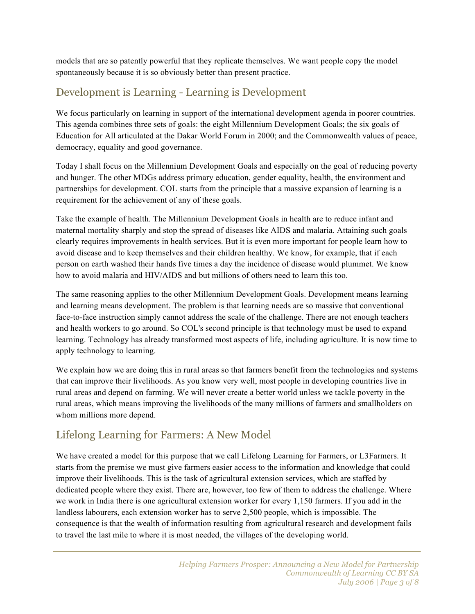models that are so patently powerful that they replicate themselves. We want people copy the model spontaneously because it is so obviously better than present practice.

# Development is Learning - Learning is Development

We focus particularly on learning in support of the international development agenda in poorer countries. This agenda combines three sets of goals: the eight Millennium Development Goals; the six goals of Education for All articulated at the Dakar World Forum in 2000; and the Commonwealth values of peace, democracy, equality and good governance.

Today I shall focus on the Millennium Development Goals and especially on the goal of reducing poverty and hunger. The other MDGs address primary education, gender equality, health, the environment and partnerships for development. COL starts from the principle that a massive expansion of learning is a requirement for the achievement of any of these goals.

Take the example of health. The Millennium Development Goals in health are to reduce infant and maternal mortality sharply and stop the spread of diseases like AIDS and malaria. Attaining such goals clearly requires improvements in health services. But it is even more important for people learn how to avoid disease and to keep themselves and their children healthy. We know, for example, that if each person on earth washed their hands five times a day the incidence of disease would plummet. We know how to avoid malaria and HIV/AIDS and but millions of others need to learn this too.

The same reasoning applies to the other Millennium Development Goals. Development means learning and learning means development. The problem is that learning needs are so massive that conventional face-to-face instruction simply cannot address the scale of the challenge. There are not enough teachers and health workers to go around. So COL's second principle is that technology must be used to expand learning. Technology has already transformed most aspects of life, including agriculture. It is now time to apply technology to learning.

We explain how we are doing this in rural areas so that farmers benefit from the technologies and systems that can improve their livelihoods. As you know very well, most people in developing countries live in rural areas and depend on farming. We will never create a better world unless we tackle poverty in the rural areas, which means improving the livelihoods of the many millions of farmers and smallholders on whom millions more depend.

# Lifelong Learning for Farmers: A New Model

We have created a model for this purpose that we call Lifelong Learning for Farmers, or L3Farmers. It starts from the premise we must give farmers easier access to the information and knowledge that could improve their livelihoods. This is the task of agricultural extension services, which are staffed by dedicated people where they exist. There are, however, too few of them to address the challenge. Where we work in India there is one agricultural extension worker for every 1,150 farmers. If you add in the landless labourers, each extension worker has to serve 2,500 people, which is impossible. The consequence is that the wealth of information resulting from agricultural research and development fails to travel the last mile to where it is most needed, the villages of the developing world.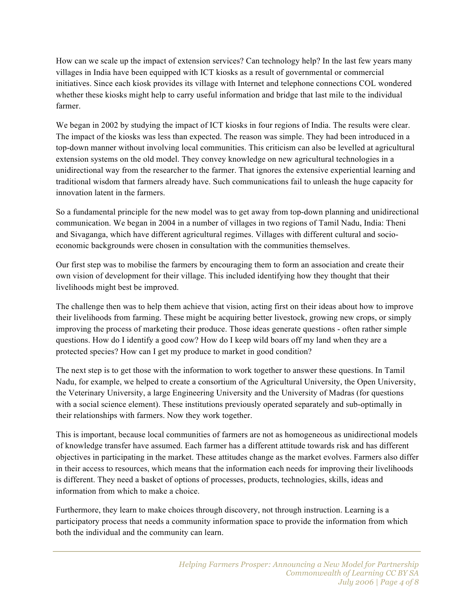How can we scale up the impact of extension services? Can technology help? In the last few years many villages in India have been equipped with ICT kiosks as a result of governmental or commercial initiatives. Since each kiosk provides its village with Internet and telephone connections COL wondered whether these kiosks might help to carry useful information and bridge that last mile to the individual farmer.

We began in 2002 by studying the impact of ICT kiosks in four regions of India. The results were clear. The impact of the kiosks was less than expected. The reason was simple. They had been introduced in a top-down manner without involving local communities. This criticism can also be levelled at agricultural extension systems on the old model. They convey knowledge on new agricultural technologies in a unidirectional way from the researcher to the farmer. That ignores the extensive experiential learning and traditional wisdom that farmers already have. Such communications fail to unleash the huge capacity for innovation latent in the farmers.

So a fundamental principle for the new model was to get away from top-down planning and unidirectional communication. We began in 2004 in a number of villages in two regions of Tamil Nadu, India: Theni and Sivaganga, which have different agricultural regimes. Villages with different cultural and socioeconomic backgrounds were chosen in consultation with the communities themselves.

Our first step was to mobilise the farmers by encouraging them to form an association and create their own vision of development for their village. This included identifying how they thought that their livelihoods might best be improved.

The challenge then was to help them achieve that vision, acting first on their ideas about how to improve their livelihoods from farming. These might be acquiring better livestock, growing new crops, or simply improving the process of marketing their produce. Those ideas generate questions - often rather simple questions. How do I identify a good cow? How do I keep wild boars off my land when they are a protected species? How can I get my produce to market in good condition?

The next step is to get those with the information to work together to answer these questions. In Tamil Nadu, for example, we helped to create a consortium of the Agricultural University, the Open University, the Veterinary University, a large Engineering University and the University of Madras (for questions with a social science element). These institutions previously operated separately and sub-optimally in their relationships with farmers. Now they work together.

This is important, because local communities of farmers are not as homogeneous as unidirectional models of knowledge transfer have assumed. Each farmer has a different attitude towards risk and has different objectives in participating in the market. These attitudes change as the market evolves. Farmers also differ in their access to resources, which means that the information each needs for improving their livelihoods is different. They need a basket of options of processes, products, technologies, skills, ideas and information from which to make a choice.

Furthermore, they learn to make choices through discovery, not through instruction. Learning is a participatory process that needs a community information space to provide the information from which both the individual and the community can learn.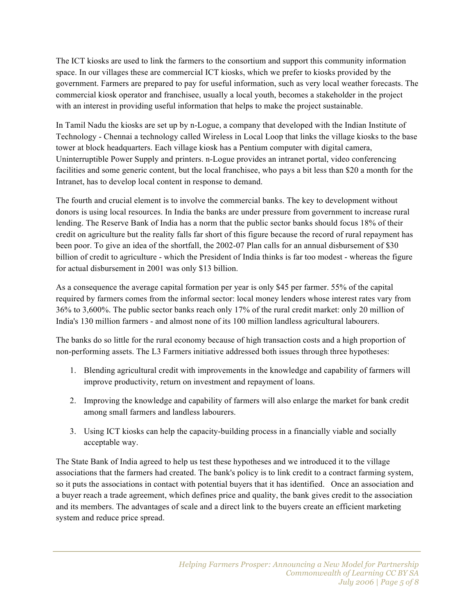The ICT kiosks are used to link the farmers to the consortium and support this community information space. In our villages these are commercial ICT kiosks, which we prefer to kiosks provided by the government. Farmers are prepared to pay for useful information, such as very local weather forecasts. The commercial kiosk operator and franchisee, usually a local youth, becomes a stakeholder in the project with an interest in providing useful information that helps to make the project sustainable.

In Tamil Nadu the kiosks are set up by n-Logue, a company that developed with the Indian Institute of Technology - Chennai a technology called Wireless in Local Loop that links the village kiosks to the base tower at block headquarters. Each village kiosk has a Pentium computer with digital camera, Uninterruptible Power Supply and printers. n-Logue provides an intranet portal, video conferencing facilities and some generic content, but the local franchisee, who pays a bit less than \$20 a month for the Intranet, has to develop local content in response to demand.

The fourth and crucial element is to involve the commercial banks. The key to development without donors is using local resources. In India the banks are under pressure from government to increase rural lending. The Reserve Bank of India has a norm that the public sector banks should focus 18% of their credit on agriculture but the reality falls far short of this figure because the record of rural repayment has been poor. To give an idea of the shortfall, the 2002-07 Plan calls for an annual disbursement of \$30 billion of credit to agriculture - which the President of India thinks is far too modest - whereas the figure for actual disbursement in 2001 was only \$13 billion.

As a consequence the average capital formation per year is only \$45 per farmer. 55% of the capital required by farmers comes from the informal sector: local money lenders whose interest rates vary from 36% to 3,600%. The public sector banks reach only 17% of the rural credit market: only 20 million of India's 130 million farmers - and almost none of its 100 million landless agricultural labourers.

The banks do so little for the rural economy because of high transaction costs and a high proportion of non-performing assets. The L3 Farmers initiative addressed both issues through three hypotheses:

- 1. Blending agricultural credit with improvements in the knowledge and capability of farmers will improve productivity, return on investment and repayment of loans.
- 2. Improving the knowledge and capability of farmers will also enlarge the market for bank credit among small farmers and landless labourers.
- 3. Using ICT kiosks can help the capacity-building process in a financially viable and socially acceptable way.

The State Bank of India agreed to help us test these hypotheses and we introduced it to the village associations that the farmers had created. The bank's policy is to link credit to a contract farming system, so it puts the associations in contact with potential buyers that it has identified. Once an association and a buyer reach a trade agreement, which defines price and quality, the bank gives credit to the association and its members. The advantages of scale and a direct link to the buyers create an efficient marketing system and reduce price spread.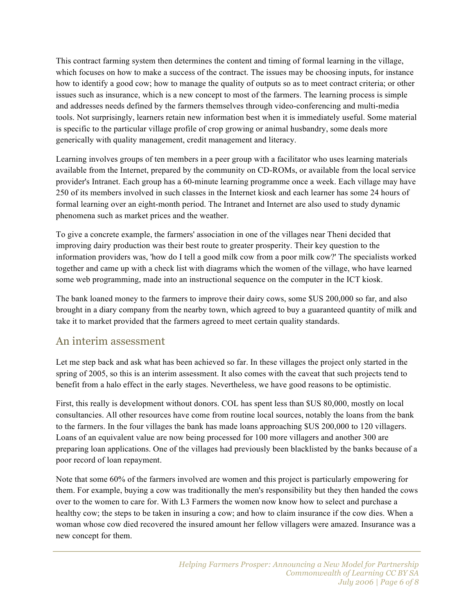This contract farming system then determines the content and timing of formal learning in the village, which focuses on how to make a success of the contract. The issues may be choosing inputs, for instance how to identify a good cow; how to manage the quality of outputs so as to meet contract criteria; or other issues such as insurance, which is a new concept to most of the farmers. The learning process is simple and addresses needs defined by the farmers themselves through video-conferencing and multi-media tools. Not surprisingly, learners retain new information best when it is immediately useful. Some material is specific to the particular village profile of crop growing or animal husbandry, some deals more generically with quality management, credit management and literacy.

Learning involves groups of ten members in a peer group with a facilitator who uses learning materials available from the Internet, prepared by the community on CD-ROMs, or available from the local service provider's Intranet. Each group has a 60-minute learning programme once a week. Each village may have 250 of its members involved in such classes in the Internet kiosk and each learner has some 24 hours of formal learning over an eight-month period. The Intranet and Internet are also used to study dynamic phenomena such as market prices and the weather.

To give a concrete example, the farmers' association in one of the villages near Theni decided that improving dairy production was their best route to greater prosperity. Their key question to the information providers was, 'how do I tell a good milk cow from a poor milk cow?' The specialists worked together and came up with a check list with diagrams which the women of the village, who have learned some web programming, made into an instructional sequence on the computer in the ICT kiosk.

The bank loaned money to the farmers to improve their dairy cows, some \$US 200,000 so far, and also brought in a diary company from the nearby town, which agreed to buy a guaranteed quantity of milk and take it to market provided that the farmers agreed to meet certain quality standards.

#### An interim assessment

Let me step back and ask what has been achieved so far. In these villages the project only started in the spring of 2005, so this is an interim assessment. It also comes with the caveat that such projects tend to benefit from a halo effect in the early stages. Nevertheless, we have good reasons to be optimistic.

First, this really is development without donors. COL has spent less than \$US 80,000, mostly on local consultancies. All other resources have come from routine local sources, notably the loans from the bank to the farmers. In the four villages the bank has made loans approaching \$US 200,000 to 120 villagers. Loans of an equivalent value are now being processed for 100 more villagers and another 300 are preparing loan applications. One of the villages had previously been blacklisted by the banks because of a poor record of loan repayment.

Note that some 60% of the farmers involved are women and this project is particularly empowering for them. For example, buying a cow was traditionally the men's responsibility but they then handed the cows over to the women to care for. With L3 Farmers the women now know how to select and purchase a healthy cow; the steps to be taken in insuring a cow; and how to claim insurance if the cow dies. When a woman whose cow died recovered the insured amount her fellow villagers were amazed. Insurance was a new concept for them.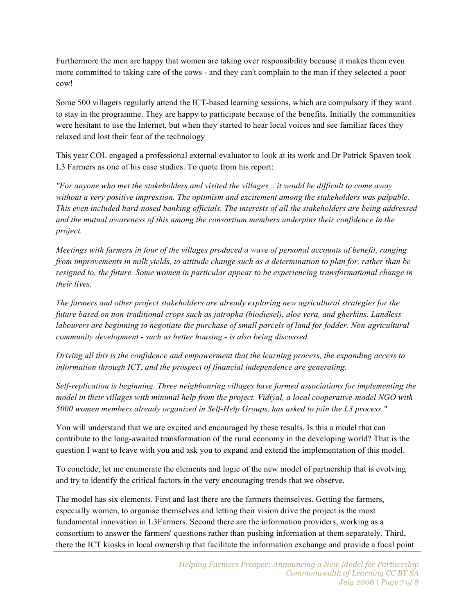Furthermore the men are happy that women are taking over responsibility because it makes them even more committed to taking care of the cows - and they can't complain to the man if they selected a poor cow!

Some 500 villagers regularly attend the ICT-based learning sessions, which are compulsory if they want to stay in the programme. They are happy to participate because of the benefits. Initially the communities were hesitant to use the Internet, but when they started to hear local voices and see familiar faces they relaxed and lost their fear of the technology

This year COL engaged a professional external evaluator to look at its work and Dr Patrick Spaven took L3 Farmers as one of his case studies. To quote from his report:

*"For anyone who met the stakeholders and visited the villages... it would be difficult to come away without a very positive impression. The optimism and excitement among the stakeholders was palpable. This even included hard-nosed banking officials. The interests of all the stakeholders are being addressed and the mutual awareness of this among the consortium members underpins their confidence in the project.*

*Meetings with farmers in four of the villages produced a wave of personal accounts of benefit, ranging from improvements in milk yields, to attitude change such as a determination to plan for, rather than be resigned to, the future. Some women in particular appear to be experiencing transformational change in their lives.*

*The farmers and other project stakeholders are already exploring new agricultural strategies for the future based on non-traditional crops such as jatropha (biodiesel), aloe vera, and gherkins. Landless labourers are beginning to negotiate the purchase of small parcels of land for fodder. Non-agricultural community development - such as better housing - is also being discussed.*

*Driving all this is the confidence and empowerment that the learning process, the expanding access to information through ICT, and the prospect of financial independence are generating.*

*Self-replication is beginning. Three neighbouring villages have formed associations for implementing the model in their villages with minimal help from the project. Vidiyal, a local cooperative-model NGO with 5000 women members already organized in Self-Help Groups, has asked to join the L3 process."*

You will understand that we are excited and encouraged by these results. Is this a model that can contribute to the long-awaited transformation of the rural economy in the developing world? That is the question I want to leave with you and ask you to expand and extend the implementation of this model.

To conclude, let me enumerate the elements and logic of the new model of partnership that is evolving and try to identify the critical factors in the very encouraging trends that we observe.

The model has six elements. First and last there are the farmers themselves. Getting the farmers, especially women, to organise themselves and letting their vision drive the project is the most fundamental innovation in L3Farmers. Second there are the information providers, working as a consortium to answer the farmers' questions rather than pushing information at them separately. Third, there the ICT kiosks in local ownership that facilitate the information exchange and provide a focal point